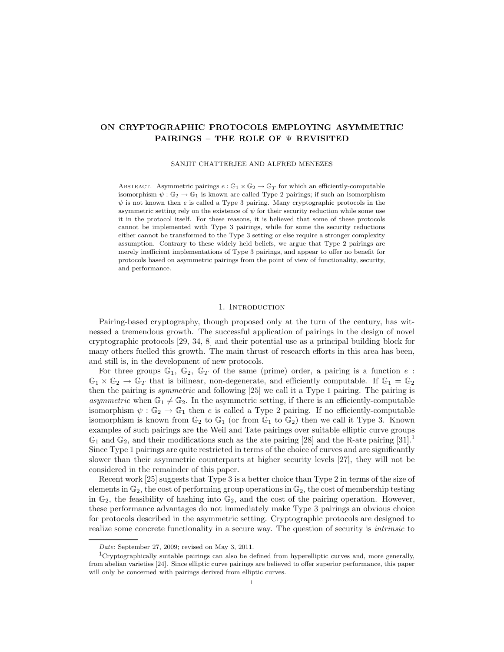# ON CRYPTOGRAPHIC PROTOCOLS EMPLOYING ASYMMETRIC PAIRINGS – THE ROLE OF Ψ REVISITED

SANJIT CHATTERJEE AND ALFRED MENEZES

ABSTRACT. Asymmetric pairings  $e : \mathbb{G}_1 \times \mathbb{G}_2 \to \mathbb{G}_T$  for which an efficiently-computable isomorphism  $\psi : \mathbb{G}_2 \to \mathbb{G}_1$  is known are called Type 2 pairings; if such an isomorphism  $\psi$  is not known then e is called a Type 3 pairing. Many cryptographic protocols in the asymmetric setting rely on the existence of  $\psi$  for their security reduction while some use it in the protocol itself. For these reasons, it is believed that some of these protocols cannot be implemented with Type 3 pairings, while for some the security reductions either cannot be transformed to the Type 3 setting or else require a stronger complexity assumption. Contrary to these widely held beliefs, we argue that Type 2 pairings are merely inefficient implementations of Type 3 pairings, and appear to offer no benefit for protocols based on asymmetric pairings from the point of view of functionality, security, and performance.

## 1. INTRODUCTION

Pairing-based cryptography, though proposed only at the turn of the century, has witnessed a tremendous growth. The successful application of pairings in the design of novel cryptographic protocols [29, 34, 8] and their potential use as a principal building block for many others fuelled this growth. The main thrust of research efforts in this area has been, and still is, in the development of new protocols.

For three groups  $\mathbb{G}_1$ ,  $\mathbb{G}_2$ ,  $\mathbb{G}_T$  of the same (prime) order, a pairing is a function e:  $\mathbb{G}_1 \times \mathbb{G}_2 \to \mathbb{G}_T$  that is bilinear, non-degenerate, and efficiently computable. If  $\mathbb{G}_1 = \mathbb{G}_2$ then the pairing is symmetric and following [25] we call it a Type 1 pairing. The pairing is asymmetric when  $\mathbb{G}_1 \neq \mathbb{G}_2$ . In the asymmetric setting, if there is an efficiently-computable isomorphism  $\psi : \mathbb{G}_2 \to \mathbb{G}_1$  then e is called a Type 2 pairing. If no efficiently-computable isomorphism is known from  $\mathbb{G}_2$  to  $\mathbb{G}_1$  (or from  $\mathbb{G}_1$  to  $\mathbb{G}_2$ ) then we call it Type 3. Known examples of such pairings are the Weil and Tate pairings over suitable elliptic curve groups  $\mathbb{G}_1$  and  $\mathbb{G}_2$ , and their modifications such as the ate pairing [28] and the R-ate pairing [31].<sup>1</sup> Since Type 1 pairings are quite restricted in terms of the choice of curves and are significantly slower than their asymmetric counterparts at higher security levels [27], they will not be considered in the remainder of this paper.

Recent work [25] suggests that Type 3 is a better choice than Type 2 in terms of the size of elements in  $\mathbb{G}_2$ , the cost of performing group operations in  $\mathbb{G}_2$ , the cost of membership testing in  $\mathbb{G}_2$ , the feasibility of hashing into  $\mathbb{G}_2$ , and the cost of the pairing operation. However, these performance advantages do not immediately make Type 3 pairings an obvious choice for protocols described in the asymmetric setting. Cryptographic protocols are designed to realize some concrete functionality in a secure way. The question of security is *intrinsic* to

Date: September 27, 2009; revised on May 3, 2011.

<sup>&</sup>lt;sup>1</sup>Cryptographically suitable pairings can also be defined from hyperelliptic curves and, more generally, from abelian varieties [24]. Since elliptic curve pairings are believed to offer superior performance, this paper will only be concerned with pairings derived from elliptic curves.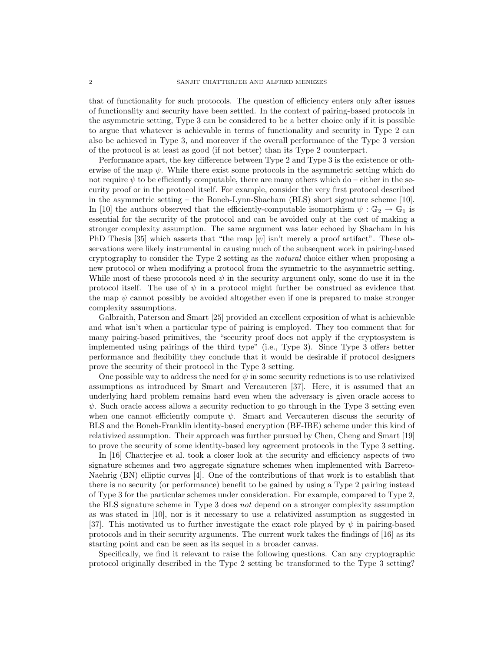that of functionality for such protocols. The question of efficiency enters only after issues of functionality and security have been settled. In the context of pairing-based protocols in the asymmetric setting, Type 3 can be considered to be a better choice only if it is possible to argue that whatever is achievable in terms of functionality and security in Type 2 can also be achieved in Type 3, and moreover if the overall performance of the Type 3 version of the protocol is at least as good (if not better) than its Type 2 counterpart.

Performance apart, the key difference between Type 2 and Type 3 is the existence or otherwise of the map  $\psi$ . While there exist some protocols in the asymmetric setting which do not require  $\psi$  to be efficiently computable, there are many others which do – either in the security proof or in the protocol itself. For example, consider the very first protocol described in the asymmetric setting – the Boneh-Lynn-Shacham (BLS) short signature scheme [10]. In [10] the authors observed that the efficiently-computable isomorphism  $\psi : \mathbb{G}_2 \to \mathbb{G}_1$  is essential for the security of the protocol and can be avoided only at the cost of making a stronger complexity assumption. The same argument was later echoed by Shacham in his PhD Thesis [35] which asserts that "the map  $[\psi]$  isn't merely a proof artifact". These observations were likely instrumental in causing much of the subsequent work in pairing-based cryptography to consider the Type 2 setting as the natural choice either when proposing a new protocol or when modifying a protocol from the symmetric to the asymmetric setting. While most of these protocols need  $\psi$  in the security argument only, some do use it in the protocol itself. The use of  $\psi$  in a protocol might further be construed as evidence that the map  $\psi$  cannot possibly be avoided altogether even if one is prepared to make stronger complexity assumptions.

Galbraith, Paterson and Smart [25] provided an excellent exposition of what is achievable and what isn't when a particular type of pairing is employed. They too comment that for many pairing-based primitives, the "security proof does not apply if the cryptosystem is implemented using pairings of the third type" (i.e., Type 3). Since Type 3 offers better performance and flexibility they conclude that it would be desirable if protocol designers prove the security of their protocol in the Type 3 setting.

One possible way to address the need for  $\psi$  in some security reductions is to use relativized assumptions as introduced by Smart and Vercauteren [37]. Here, it is assumed that an underlying hard problem remains hard even when the adversary is given oracle access to  $\psi$ . Such oracle access allows a security reduction to go through in the Type 3 setting even when one cannot efficiently compute  $\psi$ . Smart and Vercauteren discuss the security of BLS and the Boneh-Franklin identity-based encryption (BF-IBE) scheme under this kind of relativized assumption. Their approach was further pursued by Chen, Cheng and Smart [19] to prove the security of some identity-based key agreement protocols in the Type 3 setting.

In [16] Chatterjee et al. took a closer look at the security and efficiency aspects of two signature schemes and two aggregate signature schemes when implemented with Barreto-Naehrig (BN) elliptic curves [4]. One of the contributions of that work is to establish that there is no security (or performance) benefit to be gained by using a Type 2 pairing instead of Type 3 for the particular schemes under consideration. For example, compared to Type 2, the BLS signature scheme in Type 3 does not depend on a stronger complexity assumption as was stated in [10], nor is it necessary to use a relativized assumption as suggested in [37]. This motivated us to further investigate the exact role played by  $\psi$  in pairing-based protocols and in their security arguments. The current work takes the findings of [16] as its starting point and can be seen as its sequel in a broader canvas.

Specifically, we find it relevant to raise the following questions. Can any cryptographic protocol originally described in the Type 2 setting be transformed to the Type 3 setting?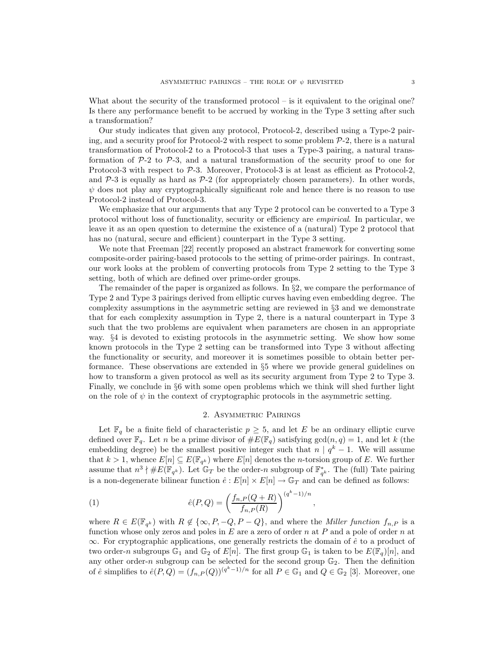What about the security of the transformed protocol – is it equivalent to the original one? Is there any performance benefit to be accrued by working in the Type 3 setting after such a transformation?

Our study indicates that given any protocol, Protocol-2, described using a Type-2 pairing, and a security proof for Protocol-2 with respect to some problem  $P-2$ , there is a natural transformation of Protocol-2 to a Protocol-3 that uses a Type-3 pairing, a natural transformation of  $P-2$  to  $P-3$ , and a natural transformation of the security proof to one for Protocol-3 with respect to P-3. Moreover, Protocol-3 is at least as efficient as Protocol-2, and  $P-3$  is equally as hard as  $P-2$  (for appropriately chosen parameters). In other words,  $\psi$  does not play any cryptographically significant role and hence there is no reason to use Protocol-2 instead of Protocol-3.

We emphasize that our arguments that any Type 2 protocol can be converted to a Type 3 protocol without loss of functionality, security or efficiency are empirical. In particular, we leave it as an open question to determine the existence of a (natural) Type 2 protocol that has no (natural, secure and efficient) counterpart in the Type 3 setting.

We note that Freeman [22] recently proposed an abstract framework for converting some composite-order pairing-based protocols to the setting of prime-order pairings. In contrast, our work looks at the problem of converting protocols from Type 2 setting to the Type 3 setting, both of which are defined over prime-order groups.

The remainder of the paper is organized as follows. In  $\S 2$ , we compare the performance of Type 2 and Type 3 pairings derived from elliptic curves having even embedding degree. The complexity assumptions in the asymmetric setting are reviewed in §3 and we demonstrate that for each complexity assumption in Type 2, there is a natural counterpart in Type 3 such that the two problems are equivalent when parameters are chosen in an appropriate way. §4 is devoted to existing protocols in the asymmetric setting. We show how some known protocols in the Type 2 setting can be transformed into Type 3 without affecting the functionality or security, and moreover it is sometimes possible to obtain better performance. These observations are extended in §5 where we provide general guidelines on how to transform a given protocol as well as its security argument from Type 2 to Type 3. Finally, we conclude in §6 with some open problems which we think will shed further light on the role of  $\psi$  in the context of cryptographic protocols in the asymmetric setting.

#### 2. Asymmetric Pairings

Let  $\mathbb{F}_q$  be a finite field of characteristic  $p \geq 5$ , and let E be an ordinary elliptic curve defined over  $\mathbb{F}_q$ . Let n be a prime divisor of  $\#E(\mathbb{F}_q)$  satisfying  $gcd(n,q) = 1$ , and let k (the embedding degree) be the smallest positive integer such that  $n | q^k - 1$ . We will assume that  $k > 1$ , whence  $E[n] \subseteq E(\mathbb{F}_{q^k})$  where  $E[n]$  denotes the *n*-torsion group of E. We further assume that  $n^3 \nmid \#E(\mathbb{F}_{q^k})$ . Let  $\mathbb{G}_T$  be the order-n subgroup of  $\mathbb{F}_{q^k}^*$ . The (full) Tate pairing is a non-degenerate bilinear function  $\hat{e}: E[n] \times E[n] \to \mathbb{G}_T$  and can be defined as follows:

(1) 
$$
\hat{e}(P,Q) = \left(\frac{f_{n,P}(Q+R)}{f_{n,P}(R)}\right)^{(q^k-1)/n},
$$

where  $R \in E(\mathbb{F}_{q^k})$  with  $R \notin \{\infty, P, -Q, P - Q\}$ , and where the *Miller function*  $f_{n,P}$  is a function whose only zeros and poles in  $E$  are a zero of order n at P and a pole of order n at  $\infty$ . For cryptographic applications, one generally restricts the domain of  $\hat{e}$  to a product of two order-n subgroups  $\mathbb{G}_1$  and  $\mathbb{G}_2$  of  $E[n]$ . The first group  $\mathbb{G}_1$  is taken to be  $E(\mathbb{F}_q)[n]$ , and any other order-n subgroup can be selected for the second group  $\mathbb{G}_2$ . Then the definition of  $\hat{e}$  simplifies to  $\hat{e}(P,Q) = (f_{n,P}(Q))^{(q^k-1)/n}$  for all  $P \in \mathbb{G}_1$  and  $Q \in \mathbb{G}_2$  [3]. Moreover, one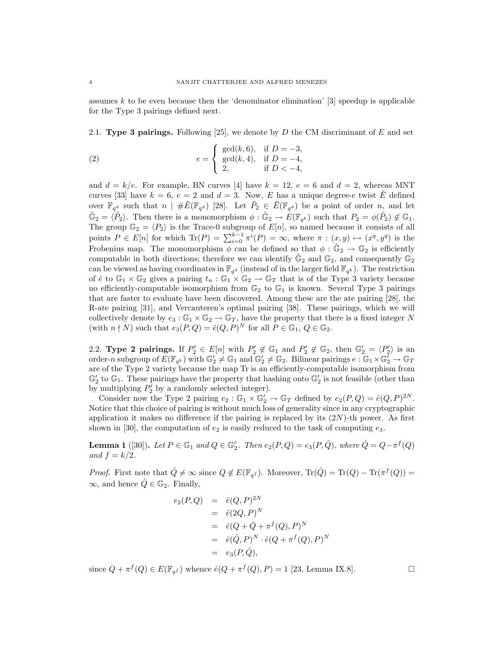assumes k to be even because then the 'denominator elimination' [3] speedup is applicable for the Type 3 pairings defined next.

2.1. Type 3 pairings. Following [25], we denote by D the CM discriminant of E and set

(2) 
$$
e = \begin{cases} \gcd(k, 6), & \text{if } D = -3, \\ \gcd(k, 4), & \text{if } D = -4, \\ 2, & \text{if } D < -4, \end{cases}
$$

and  $d = k/e$ . For example, BN curves [4] have  $k = 12$ ,  $e = 6$  and  $d = 2$ , whereas MNT curves [33] have  $k = 6$ ,  $e = 2$  and  $d = 3$ . Now, E has a unique degree-e twist E defined over  $\mathbb{F}_{q^d}$  such that  $n \mid \# \tilde{E}(\mathbb{F}_{q^d})$  [28]. Let  $\tilde{P}_2 \in \tilde{E}(\mathbb{F}_{q^d})$  be a point of order n, and let  $\tilde{\mathbb{G}}_2 = \langle \tilde{P}_2 \rangle$ . Then there is a monomorphism  $\phi : \tilde{\mathbb{G}}_2 \to E(\mathbb{F}_{q^k})$  such that  $P_2 = \phi(\tilde{P}_2) \notin \mathbb{G}_1$ . The group  $\mathbb{G}_2 = \langle P_2 \rangle$  is the Trace-0 subgroup of  $E[n]$ , so named because it consists of all points  $P \in E[n]$  for which  $\text{Tr}(P) = \sum_{i=0}^{k-1} \pi^i(P) = \infty$ , where  $\pi : (x, y) \mapsto (x^q, y^q)$  is the Frobenius map. The monomorphism  $\phi$  can be defined so that  $\phi : \tilde{\mathbb{G}}_2 \to \mathbb{G}_2$  is efficiently computable in both directions; therefore we can identify  $\tilde{\mathbb{G}}_2$  and  $\mathbb{G}_2$ , and consequently  $\tilde{\mathbb{G}}_2$ can be viewed as having coordinates in  $\mathbb{F}_{q^d}$  (instead of in the larger field  $\mathbb{F}_{q^k}$ ). The restriction of  $\hat{e}$  to  $\mathbb{G}_1 \times \mathbb{G}_2$  gives a pairing  $t_n : \mathbb{G}_1 \times \mathbb{G}_2 \to \mathbb{G}_T$  that is of the Type 3 variety because no efficiently-computable isomorphism from  $\mathbb{G}_2$  to  $\mathbb{G}_1$  is known. Several Type 3 pairings that are faster to evaluate have been discovered. Among these are the ate pairing [28], the R-ate pairing [31], and Vercauteren's optimal pairing [38]. These pairings, which we will collectively denote by  $e_3 : \mathbb{G}_1 \times \mathbb{G}_2 \to \mathbb{G}_T$ , have the property that there is a fixed integer N (with  $n \nmid N$ ) such that  $e_3(P,Q) = \hat{e}(Q,P)^N$  for all  $P \in \mathbb{G}_1$ ,  $Q \in \mathbb{G}_2$ .

2.2. Type 2 pairings. If  $P'_2 \in E[n]$  with  $P'_2 \notin \mathbb{G}_1$  and  $P'_2 \notin \mathbb{G}_2$ , then  $\mathbb{G}'_2 = \langle P'_2 \rangle$  is an order-n subgroup of  $E(\mathbb{F}_{q^k})$  with  $\mathbb{G}'_2 \neq \mathbb{G}_1$  and  $\mathbb{G}'_2 \neq \mathbb{G}_2$ . Bilinear pairings  $e : \mathbb{G}_1 \times \mathbb{G}'_2 \to \mathbb{G}_T$ are of the Type 2 variety because the map Tr is an efficiently-computable isomorphism from  $\mathbb{G}'_2$  to  $\mathbb{G}_1$ . These pairings have the property that hashing onto  $\mathbb{G}'_2$  is not feasible (other than by multiplying  $P'_2$  by a randomly selected integer).

Consider now the Type 2 pairing  $e_2 : \mathbb{G}_1 \times \mathbb{G}'_2 \to \mathbb{G}_T$  defined by  $e_2(P,Q) = \hat{e}(Q,P)^{2N}$ . Notice that this choice of pairing is without much loss of generality since in any cryptographic application it makes no difference if the pairing is replaced by its  $(2N)$ -th power. As first shown in [30], the computation of  $e_2$  is easily reduced to the task of computing  $e_3$ .

**Lemma 1** ([30]). Let  $P \in \mathbb{G}_1$  and  $Q \in \mathbb{G}'_2$ . Then  $e_2(P,Q) = e_3(P,\hat{Q})$ , where  $\hat{Q} = Q - \pi^f(Q)$ and  $f = k/2$ .

*Proof.* First note that  $\hat{Q} \neq \infty$  since  $Q \notin E(\mathbb{F}_{q^f})$ . Moreover,  $\text{Tr}(\hat{Q}) = \text{Tr}(Q) - \text{Tr}(\pi^f(Q)) =$  $\infty$ , and hence  $\hat{Q} \in \mathbb{G}_2$ . Finally,

$$
e_2(P,Q) = \hat{e}(Q, P)^{2N}
$$
  
=  $\hat{e}(2Q, P)^N$   
=  $\hat{e}(Q + \hat{Q} + \pi^f(Q), P)^N$   
=  $\hat{e}(\hat{Q}, P)^N \cdot \hat{e}(Q + \pi^f(Q), P)^N$   
=  $e_3(P, \hat{Q}),$ 

since  $Q + \pi^f(Q) \in E(\mathbb{F}_{q^f})$  whence  $\hat{e}(Q + \pi^f(Q), P) = 1$  [23, Lemma IX.8].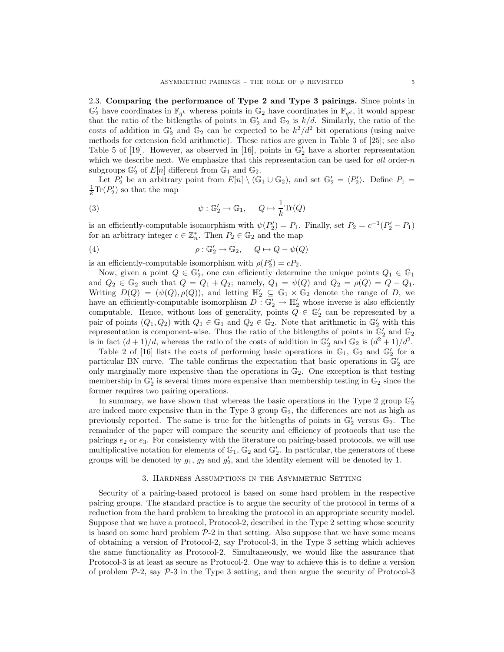2.3. Comparing the performance of Type 2 and Type 3 pairings. Since points in  $\mathbb{G}'_2$  have coordinates in  $\mathbb{F}_{q^k}$  whereas points in  $\mathbb{G}_2$  have coordinates in  $\mathbb{F}_{q^d}$ , it would appear that the ratio of the bitlengths of points in  $\mathbb{G}'_2$  and  $\mathbb{G}_2$  is  $k/d$ . Similarly, the ratio of the costs of addition in  $\mathbb{G}'_2$  and  $\mathbb{G}_2$  can be expected to be  $k^2/d^2$  bit operations (using naive methods for extension field arithmetic). These ratios are given in Table 3 of [25]; see also Table 5 of [19]. However, as observed in [16], points in  $\mathbb{G}'_2$  have a shorter representation which we describe next. We emphasize that this representation can be used for  $all$  order-n subgroups  $\mathbb{G}'_2$  of  $E[n]$  different from  $\mathbb{G}_1$  and  $\mathbb{G}_2$ .

Let  $P'_2$  be an arbitrary point from  $E[n] \setminus (\mathbb{G}_1 \cup \mathbb{G}_2)$ , and set  $\mathbb{G}'_2 = \langle P'_2 \rangle$ . Define  $P_1 =$  $\frac{1}{k}\text{Tr}(P_2')$  so that the map

(3) 
$$
\psi : \mathbb{G}'_2 \to \mathbb{G}_1, \quad Q \mapsto \frac{1}{k} \text{Tr}(Q)
$$

is an efficiently-computable isomorphism with  $\psi(P'_2) = P_1$ . Finally, set  $P_2 = c^{-1}(P'_2 - P_1)$ for an arbitrary integer  $c \in \mathbb{Z}_n^*$ . Then  $P_2 \in \mathbb{G}_2$  and the map

(4) 
$$
\rho : \mathbb{G}'_2 \to \mathbb{G}_2, \qquad Q \mapsto Q - \psi(Q)
$$

is an efficiently-computable isomorphism with  $\rho(P_2') = cP_2$ .

Now, given a point  $Q \in \mathbb{G}'_2$ , one can efficiently determine the unique points  $Q_1 \in \mathbb{G}_1$ and  $Q_2 \in \mathbb{G}_2$  such that  $Q = Q_1 + Q_2$ ; namely,  $Q_1 = \psi(Q)$  and  $Q_2 = \rho(Q) = Q - Q_1$ . Writing  $D(Q) = (\psi(Q), \rho(Q))$ , and letting  $\mathbb{H}'_2 \subseteq \mathbb{G}_1 \times \mathbb{G}_2$  denote the range of D, we have an efficiently-computable isomorphism  $D: \mathbb{G}_2' \to \mathbb{H}_2'$  whose inverse is also efficiently computable. Hence, without loss of generality, points  $Q \in \mathbb{G}'_2$  can be represented by a pair of points  $(Q_1, Q_2)$  with  $Q_1 \in \mathbb{G}_1$  and  $Q_2 \in \mathbb{G}_2$ . Note that arithmetic in  $\mathbb{G}_2'$  with this representation is component-wise. Thus the ratio of the bitlengths of points in  $\mathbb{G}_2'$  and  $\mathbb{G}_2$ is in fact  $(d+1)/d$ , whereas the ratio of the costs of addition in  $\mathbb{G}'_2$  and  $\mathbb{G}_2$  is  $(d^2+1)/d^2$ .

Table 2 of [16] lists the costs of performing basic operations in  $\mathbb{G}_1$ ,  $\mathbb{G}_2$  and  $\mathbb{G}'_2$  for a particular BN curve. The table confirms the expectation that basic operations in  $\mathbb{G}_2'$  are only marginally more expensive than the operations in  $\mathbb{G}_2$ . One exception is that testing membership in  $\mathbb{G}'_2$  is several times more expensive than membership testing in  $\mathbb{G}_2$  since the former requires two pairing operations.

In summary, we have shown that whereas the basic operations in the Type 2 group  $\mathbb{G}'_2$ are indeed more expensive than in the Type 3 group  $\mathbb{G}_2$ , the differences are not as high as previously reported. The same is true for the bitlengths of points in  $\mathbb{G}'_2$  versus  $\mathbb{G}_2$ . The remainder of the paper will compare the security and efficiency of protocols that use the pairings  $e_2$  or  $e_3$ . For consistency with the literature on pairing-based protocols, we will use multiplicative notation for elements of  $\mathbb{G}_1$ ,  $\mathbb{G}_2$  and  $\mathbb{G}'_2$ . In particular, the generators of these groups will be denoted by  $g_1$ ,  $g_2$  and  $g'_2$ , and the identity element will be denoted by 1.

## 3. Hardness Assumptions in the Asymmetric Setting

Security of a pairing-based protocol is based on some hard problem in the respective pairing groups. The standard practice is to argue the security of the protocol in terms of a reduction from the hard problem to breaking the protocol in an appropriate security model. Suppose that we have a protocol, Protocol-2, described in the Type 2 setting whose security is based on some hard problem  $P-2$  in that setting. Also suppose that we have some means of obtaining a version of Protocol-2, say Protocol-3, in the Type 3 setting which achieves the same functionality as Protocol-2. Simultaneously, we would like the assurance that Protocol-3 is at least as secure as Protocol-2. One way to achieve this is to define a version of problem  $P-2$ , say  $P-3$  in the Type 3 setting, and then argue the security of Protocol-3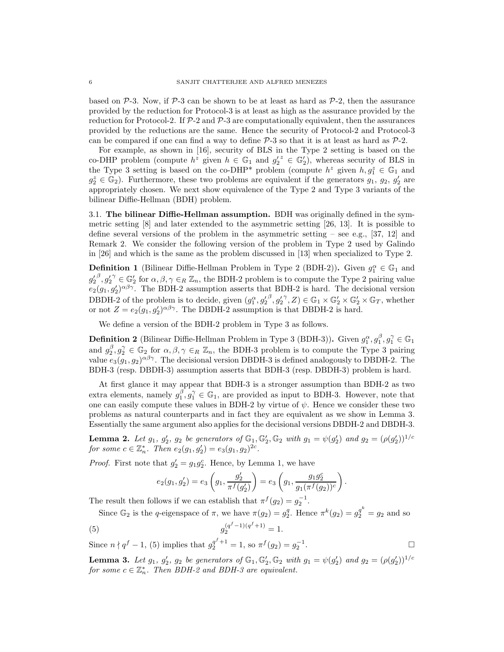based on  $\mathcal{P}$ -3. Now, if  $\mathcal{P}$ -3 can be shown to be at least as hard as  $\mathcal{P}$ -2, then the assurance provided by the reduction for Protocol-3 is at least as high as the assurance provided by the reduction for Protocol-2. If  $\mathcal{P}-2$  and  $\mathcal{P}-3$  are computationally equivalent, then the assurances provided by the reductions are the same. Hence the security of Protocol-2 and Protocol-3 can be compared if one can find a way to define  $P-3$  so that it is at least as hard as  $P-2$ .

For example, as shown in [16], security of BLS in the Type 2 setting is based on the co-DHP problem (compute  $h^z$  given  $h \in \mathbb{G}_1$  and  $g'_2 \in \mathbb{G}_2'$ ), whereas security of BLS in the Type 3 setting is based on the co-DHP<sup>\*</sup> problem (compute  $h^z$  given  $h, g_1^z \in \mathbb{G}_1$  and  $g_2^z \in \mathbb{G}_2$ ). Furthermore, these two problems are equivalent if the generators  $g_1, g_2, g'_2$  are appropriately chosen. We next show equivalence of the Type 2 and Type 3 variants of the bilinear Diffie-Hellman (BDH) problem.

3.1. The bilinear Diffie-Hellman assumption. BDH was originally defined in the symmetric setting [8] and later extended to the asymmetric setting [26, 13]. It is possible to define several versions of the problem in the asymmetric setting – see e.g., [37, 12] and Remark 2. We consider the following version of the problem in Type 2 used by Galindo in [26] and which is the same as the problem discussed in [13] when specialized to Type 2.

**Definition 1** (Bilinear Diffie-Hellman Problem in Type 2 (BDH-2)). Given  $g_1^{\alpha} \in \mathbb{G}_1$  and  $g'_2^{\beta}, g'_2^{\gamma} \in \mathbb{G}_2'$  for  $\alpha, \beta, \gamma \in_R \mathbb{Z}_n$ , the BDH-2 problem is to compute the Type 2 pairing value  $e_2(g_1, g'_2)^{\alpha\beta\gamma}$ . The BDH-2 assumption asserts that BDH-2 is hard. The decisional version DBDH-2 of the problem is to decide, given  $(g_1^{\alpha}, g_2'^{\beta}, g_2'^{\gamma}, Z) \in \mathbb{G}_1 \times \mathbb{G}_2' \times \mathbb{G}_2' \times \mathbb{G}_T$ , whether or not  $Z = e_2(g_1, g'_2)^{\alpha \beta \gamma}$ . The DBDH-2 assumption is that DBDH-2 is hard.

We define a version of the BDH-2 problem in Type 3 as follows.

**Definition 2** (Bilinear Diffie-Hellman Problem in Type 3 (BDH-3)). Given  $g_1^{\alpha}, g_1^{\beta}, g_1^{\gamma} \in \mathbb{G}_1$ and  $g_2^{\beta}, g_2^{\gamma} \in \mathbb{G}_2$  for  $\alpha, \beta, \gamma \in_R \mathbb{Z}_n$ , the BDH-3 problem is to compute the Type 3 pairing value  $e_3(g_1, g_2)^{\alpha\beta\gamma}$ . The decisional version DBDH-3 is defined analogously to DBDH-2. The BDH-3 (resp. DBDH-3) assumption asserts that BDH-3 (resp. DBDH-3) problem is hard.

At first glance it may appear that BDH-3 is a stronger assumption than BDH-2 as two extra elements, namely  $g_1^{\beta}, g_1^{\gamma} \in \mathbb{G}_1$ , are provided as input to BDH-3. However, note that one can easily compute these values in BDH-2 by virtue of  $\psi$ . Hence we consider these two problems as natural counterparts and in fact they are equivalent as we show in Lemma 3. Essentially the same argument also applies for the decisional versions DBDH-2 and DBDH-3.

**Lemma 2.** Let  $g_1$ ,  $g'_2$ ,  $g_2$  be generators of  $\mathbb{G}_1$ ,  $\mathbb{G}'_2$ ,  $\mathbb{G}_2$  with  $g_1 = \psi(g'_2)$  and  $g_2 = (\rho(g'_2))^{1/c}$ for some  $c \in \mathbb{Z}_n^*$ . Then  $e_2(g_1, g'_2) = e_3(g_1, g_2)^{2c}$ .

*Proof.* First note that  $g'_2 = g_1 g_2^c$ . Hence, by Lemma 1, we have

$$
e_2(g_1, g_2') = e_3\left(g_1, \frac{g_2'}{\pi^f(g_2')}\right) = e_3\left(g_1, \frac{g_1g_2^c}{g_1(\pi^f(g_2))^c}\right)
$$

.

The result then follows if we can establish that  $\pi^f(g_2) = g_2^{-1}$ .

Since  $\mathbb{G}_2$  is the q-eigenspace of  $\pi$ , we have  $\pi(g_2) = g_2^q$ . Hence  $\pi^k(g_2) = g_2^{q^k} = g_2$  and so

(5) 
$$
g_2^{(q^f-1)(q^f+1)} = 1.
$$

Since  $n \nmid q^f - 1$ , (5) implies that  $g_2^{q^f + 1} = 1$ , so  $\pi^f(g_2) = g_2^{-1}$ . В последните последните и производите в село в село в село в село в село в село в село в село в село в село <br>В село в село в село в село в село в село в село в село в село в село в село в село в село в село в село в сел

**Lemma 3.** Let  $g_1$ ,  $g'_2$ ,  $g_2$  be generators of  $\mathbb{G}_1$ ,  $\mathbb{G}'_2$ ,  $\mathbb{G}_2$  with  $g_1 = \psi(g'_2)$  and  $g_2 = (\rho(g'_2))^{1/c}$ for some  $c \in \mathbb{Z}_n^*$ . Then BDH-2 and BDH-3 are equivalent.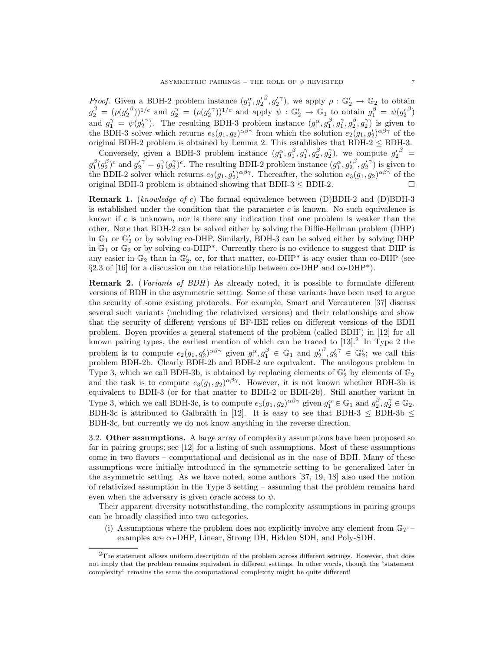*Proof.* Given a BDH-2 problem instance  $(g_1^{\alpha}, g_2'^{\beta}, g_2'^{\gamma})$ , we apply  $\rho : \mathbb{G}_2' \to \mathbb{G}_2$  to obtain  $g_2^{\beta} = (\rho(g_2'^{\beta}))^{1/c}$  and  $g_2^{\gamma} = (\rho(g_2'^{\gamma}))^{1/c}$  and apply  $\psi : \mathbb{G}_2' \to \mathbb{G}_1$  to obtain  $g_1^{\beta} = \psi(g_2'^{\beta})$ and  $g_1^{\gamma} = \psi(g_2'^{\gamma})$ . The resulting BDH-3 problem instance  $(g_1^{\alpha}, g_1^{\beta}, g_1^{\gamma}, g_2^{\beta}, g_2^{\gamma})$  is given to the BDH-3 solver which returns  $e_3(g_1, g_2)^{\alpha\beta\gamma}$  from which the solution  $e_2(g_1, g'_2)^{\alpha\beta\gamma}$  of the original BDH-2 problem is obtained by Lemma 2. This establishes that  $BDH-2 \leq BDH-3$ .

Conversely, given a BDH-3 problem instance  $(g_1^{\alpha}, g_1^{\beta}, g_1^{\gamma}, g_2^{\beta}, g_2^{\gamma})$ , we compute  $g_2'^{\beta}$  $g_1^{\beta}(g_2^{\beta})^c$  and  $g_2^{\prime\gamma}=g_1^{\gamma}(g_2^{\gamma})^c$ . The resulting BDH-2 problem instance  $(g_1^{\alpha},g_2^{\prime\beta},g_2^{\prime\gamma})$  is given to the BDH-2 solver which returns  $e_2(g_1, g'_2)^{\alpha\beta\gamma}$ . Thereafter, the solution  $e_3(g_1, g_2)^{\alpha\beta\gamma}$  of the original BDH-3 problem is obtained showing that BDH-3  $\leq$  BDH-2.

**Remark 1.** (knowledge of c) The formal equivalence between (D)BDH-2 and (D)BDH-3 is established under the condition that the parameter  $c$  is known. No such equivalence is known if c is unknown, nor is there any indication that one problem is weaker than the other. Note that BDH-2 can be solved either by solving the Diffie-Hellman problem (DHP) in  $\mathbb{G}_1$  or  $\mathbb{G}_2'$  or by solving co-DHP. Similarly, BDH-3 can be solved either by solving DHP in  $\mathbb{G}_1$  or  $\mathbb{G}_2$  or by solving co-DHP<sup>\*</sup>. Currently there is no evidence to suggest that DHP is any easier in  $\mathbb{G}_2$  than in  $\mathbb{G}'_2$ , or, for that matter, co-DHP<sup>\*</sup> is any easier than co-DHP (see  $\S 2.3$  of [16] for a discussion on the relationship between co-DHP and co-DHP\*).

**Remark 2.** (Variants of BDH) As already noted, it is possible to formulate different versions of BDH in the asymmetric setting. Some of these variants have been used to argue the security of some existing protocols. For example, Smart and Vercauteren [37] discuss several such variants (including the relativized versions) and their relationships and show that the security of different versions of BF-IBE relies on different versions of the BDH problem. Boyen provides a general statement of the problem (called BDH') in [12] for all known pairing types, the earliest mention of which can be traced to  $[13]$ <sup>2</sup> In Type 2 the problem is to compute  $e_2(g_1, g'_2)^{\alpha\beta\gamma}$  given  $g_1^{\alpha}, g_1^{\beta} \in \mathbb{G}_1$  and  $g'_2^{\beta}, g'_2^{\gamma} \in \mathbb{G}_2'$ ; we call this problem BDH-2b. Clearly BDH-2b and BDH-2 are equivalent. The analogous problem in Type 3, which we call BDH-3b, is obtained by replacing elements of  $\mathbb{G}'_2$  by elements of  $\mathbb{G}_2$ and the task is to compute  $e_3(g_1, g_2)^{\alpha\beta\gamma}$ . However, it is not known whether BDH-3b is equivalent to BDH-3 (or for that matter to BDH-2 or BDH-2b). Still another variant in Type 3, which we call BDH-3c, is to compute  $e_3(g_1, g_2)^{\alpha\beta\gamma}$  given  $g_1^{\alpha} \in \mathbb{G}_1$  and  $g_2^{\beta}, g_2^{\gamma} \in \mathbb{G}_2$ . BDH-3c is attributed to Galbraith in [12]. It is easy to see that BDH-3  $\leq$  BDH-3b  $\leq$ BDH-3c, but currently we do not know anything in the reverse direction.

3.2. Other assumptions. A large array of complexity assumptions have been proposed so far in pairing groups; see [12] for a listing of such assumptions. Most of these assumptions come in two flavors – computational and decisional as in the case of BDH. Many of these assumptions were initially introduced in the symmetric setting to be generalized later in the asymmetric setting. As we have noted, some authors [37, 19, 18] also used the notion of relativized assumption in the Type 3 setting – assuming that the problem remains hard even when the adversary is given oracle access to  $\psi$ .

Their apparent diversity notwithstanding, the complexity assumptions in pairing groups can be broadly classified into two categories.

(i) Assumptions where the problem does not explicitly involve any element from  $\mathbb{G}_T$  – examples are co-DHP, Linear, Strong DH, Hidden SDH, and Poly-SDH.

 $2$ The statement allows uniform description of the problem across different settings. However, that does not imply that the problem remains equivalent in different settings. In other words, though the "statement complexity" remains the same the computational complexity might be quite different!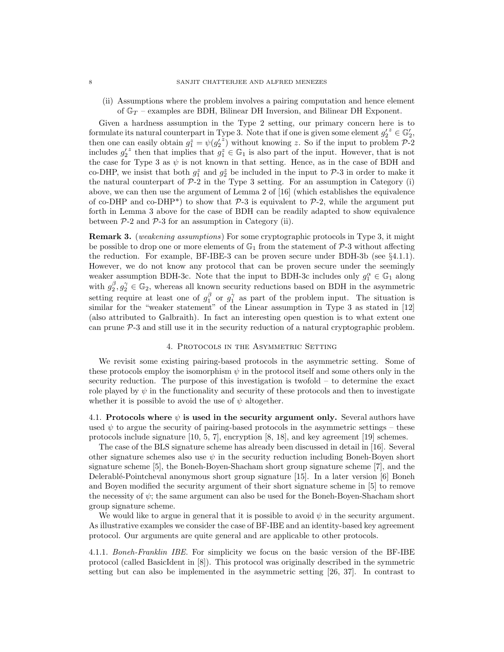(ii) Assumptions where the problem involves a pairing computation and hence element of  $\mathbb{G}_T$  – examples are BDH, Bilinear DH Inversion, and Bilinear DH Exponent.

Given a hardness assumption in the Type 2 setting, our primary concern here is to formulate its natural counterpart in Type 3. Note that if one is given some element  $g_2^{\prime z} \in \mathbb{G}_2$ , then one can easily obtain  $g_1^z = \psi({g'_2}^z)$  without knowing z. So if the input to problem  $\mathcal{P}_2$ includes  $g_2'^z$  then that implies that  $g_1^z \in \mathbb{G}_1$  is also part of the input. However, that is not the case for Type 3 as  $\psi$  is not known in that setting. Hence, as in the case of BDH and co-DHP, we insist that both  $g_1^z$  and  $g_2^z$  be included in the input to P-3 in order to make it the natural counterpart of  $P-2$  in the Type 3 setting. For an assumption in Category (i) above, we can then use the argument of Lemma 2 of [16] (which establishes the equivalence of co-DHP and co-DHP<sup>\*</sup>) to show that  $P-3$  is equivalent to  $P-2$ , while the argument put forth in Lemma 3 above for the case of BDH can be readily adapted to show equivalence between  $P-2$  and  $P-3$  for an assumption in Category (ii).

**Remark 3.** (weakening assumptions) For some cryptographic protocols in Type 3, it might be possible to drop one or more elements of  $\mathbb{G}_1$  from the statement of P-3 without affecting the reduction. For example, BF-IBE-3 can be proven secure under BDH-3b (see §4.1.1). However, we do not know any protocol that can be proven secure under the seemingly weaker assumption BDH-3c. Note that the input to BDH-3c includes only  $g_1^{\alpha} \in \mathbb{G}_1$  along with  $g_2^{\beta}, g_2^{\gamma} \in \mathbb{G}_2$ , whereas all known security reductions based on BDH in the asymmetric setting require at least one of  $g_1^{\beta}$  or  $g_1^{\gamma}$  as part of the problem input. The situation is similar for the "weaker statement" of the Linear assumption in Type 3 as stated in [12] (also attributed to Galbraith). In fact an interesting open question is to what extent one can prune  $\mathcal{P}-3$  and still use it in the security reduction of a natural cryptographic problem.

### 4. Protocols in the Asymmetric Setting

We revisit some existing pairing-based protocols in the asymmetric setting. Some of these protocols employ the isomorphism  $\psi$  in the protocol itself and some others only in the security reduction. The purpose of this investigation is twofold – to determine the exact role played by  $\psi$  in the functionality and security of these protocols and then to investigate whether it is possible to avoid the use of  $\psi$  altogether.

4.1. Protocols where  $\psi$  is used in the security argument only. Several authors have used  $\psi$  to argue the security of pairing-based protocols in the asymmetric settings – these protocols include signature [10, 5, 7], encryption [8, 18], and key agreement [19] schemes.

The case of the BLS signature scheme has already been discussed in detail in [16]. Several other signature schemes also use  $\psi$  in the security reduction including Boneh-Boyen short signature scheme [5], the Boneh-Boyen-Shacham short group signature scheme [7], and the Delerabl´e-Pointcheval anonymous short group signature [15]. In a later version [6] Boneh and Boyen modified the security argument of their short signature scheme in [5] to remove the necessity of  $\psi$ ; the same argument can also be used for the Boneh-Boyen-Shacham short group signature scheme.

We would like to argue in general that it is possible to avoid  $\psi$  in the security argument. As illustrative examples we consider the case of BF-IBE and an identity-based key agreement protocol. Our arguments are quite general and are applicable to other protocols.

4.1.1. Boneh-Franklin IBE. For simplicity we focus on the basic version of the BF-IBE protocol (called BasicIdent in [8]). This protocol was originally described in the symmetric setting but can also be implemented in the asymmetric setting [26, 37]. In contrast to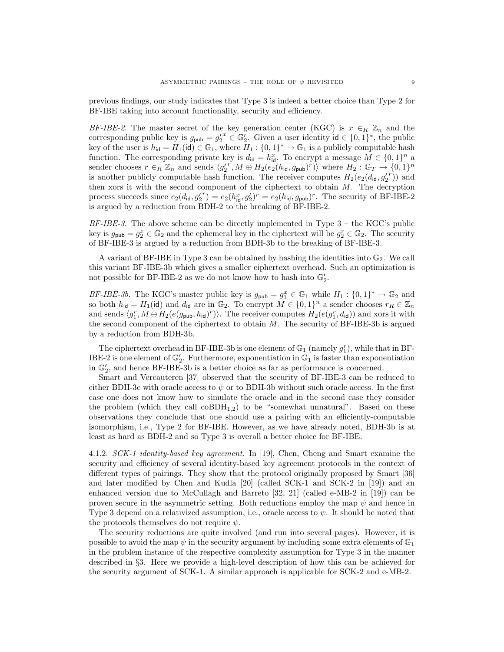previous findings, our study indicates that Type 3 is indeed a better choice than Type 2 for BF-IBE taking into account functionality, security and efficiency.

BF-IBE-2. The master secret of the key generation center (KGC) is  $x \in_R \mathbb{Z}_n$  and the corresponding public key is  $g_{\text{pub}} = g_2'^x \in \mathbb{G}_2'$ . Given a user identity  $\mathsf{id} \in \{0,1\}^*$ , the public key of the user is  $h_{\text{id}} = H_1(\text{id}) \in \mathbb{G}_1$ , where  $H_1: \{0,1\}^* \to \mathbb{G}_1$  is a publicly computable hash function. The corresponding private key is  $d_{\mathsf{id}} = h_{\mathsf{id}}^x$ . To encrypt a message  $M \in \{0,1\}^n$  a sender chooses  $r \in_R \mathbb{Z}_n$  and sends  $\langle g_2^{r^r}, M \oplus H_2(e_2(h_{\mathsf{id}}, g_{\mathsf{pub}})^r) \rangle$  where  $H_2 : \mathbb{G}_T \to \{0,1\}^n$ is another publicly computable hash function. The receiver computes  $H_2(e_2(d_{id}, g'_2)^r)$  and then xors it with the second component of the ciphertext to obtain  $M$ . The decryption process succeeds since  $e_2(d_{\text{id}}, g'_2)^r = e_2(h_{\text{id}}^x, g'_2)^r = e_2(h_{\text{id}}, g_{\text{pub}})^r$ . The security of BF-IBE-2 is argued by a reduction from BDH-2 to the breaking of BF-IBE-2.

BF-IBE-3. The above scheme can be directly implemented in Type 3 – the KGC's public key is  $g_{\text{pub}} = g_2^x \in \mathbb{G}_2$  and the ephemeral key in the ciphertext will be  $g_2^r \in \mathbb{G}_2$ . The security of BF-IBE-3 is argued by a reduction from BDH-3b to the breaking of BF-IBE-3.

A variant of BF-IBE in Type 3 can be obtained by hashing the identities into  $\mathbb{G}_2$ . We call this variant BF-IBE-3b which gives a smaller ciphertext overhead. Such an optimization is not possible for BF-IBE-2 as we do not know how to hash into  $\mathbb{G}_2'.$ 

BF-IBE-3b. The KGC's master public key is  $g_{\text{pub}} = g_1^x \in \mathbb{G}_1$  while  $H_1: \{0,1\}^* \to \mathbb{G}_2$  and so both  $h_{\mathsf{id}} = H_1(\mathsf{id})$  and  $d_{\mathsf{id}}$  are in  $\mathbb{G}_2$ . To encrypt  $M \in \{0,1\}^n$  a sender chooses  $r_R \in \mathbb{Z}_n$ and sends  $\langle g_1^r, M \oplus H_2(e(g_{\text{pub}}, h_{\text{id}})^r) \rangle$ . The receiver computes  $H_2(e(g_1^r, d_{\text{id}}))$  and xors it with the second component of the ciphertext to obtain  $M$ . The security of BF-IBE-3b is argued by a reduction from BDH-3b.

The ciphertext overhead in BF-IBE-3b is one element of  $\mathbb{G}_1$  (namely  $g_1^r$ ), while that in BF-IBE-2 is one element of  $\mathbb{G}'_2$ . Furthermore, exponentiation in  $\mathbb{G}_1$  is faster than exponentiation in  $\mathbb{G}'_2$ , and hence BF-IBE-3b is a better choice as far as performance is concerned.

Smart and Vercauteren [37] observed that the security of BF-IBE-3 can be reduced to either BDH-3c with oracle access to  $\psi$  or to BDH-3b without such oracle access. In the first case one does not know how to simulate the oracle and in the second case they consider the problem (which they call  $coBDH_{1,2}$ ) to be "somewhat unnatural". Based on these observations they conclude that one should use a pairing with an efficiently-computable isomorphism, i.e., Type 2 for BF-IBE. However, as we have already noted, BDH-3b is at least as hard as BDH-2 and so Type 3 is overall a better choice for BF-IBE.

4.1.2. SCK-1 identity-based key agreement. In [19], Chen, Cheng and Smart examine the security and efficiency of several identity-based key agreement protocols in the context of different types of pairings. They show that the protocol originally proposed by Smart [36] and later modified by Chen and Kudla [20] (called SCK-1 and SCK-2 in [19]) and an enhanced version due to McCullagh and Barreto [32, 21] (called e-MB-2 in [19]) can be proven secure in the asymmetric setting. Both reductions employ the map  $\psi$  and hence in Type 3 depend on a relativized assumption, i.e., oracle access to  $\psi$ . It should be noted that the protocols themselves do not require  $\psi$ .

The security reductions are quite involved (and run into several pages). However, it is possible to avoid the map  $\psi$  in the security argument by including some extra elements of  $\mathbb{G}_1$ in the problem instance of the respective complexity assumption for Type 3 in the manner described in §3. Here we provide a high-level description of how this can be achieved for the security argument of SCK-1. A similar approach is applicable for SCK-2 and e-MB-2.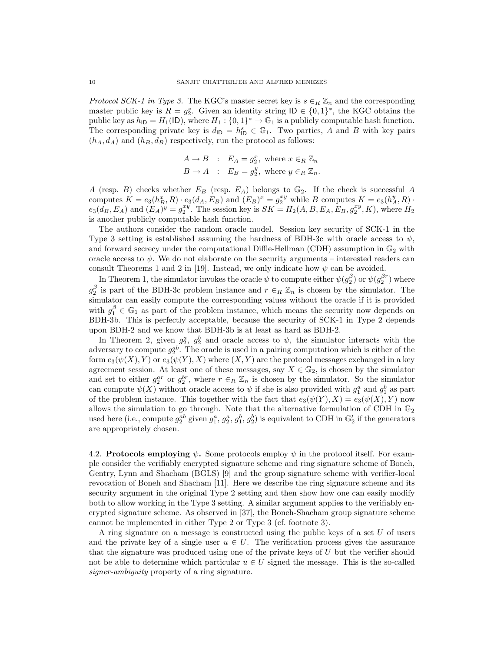*Protocol SCK-1 in Type 3.* The KGC's master secret key is  $s \in_R \mathbb{Z}_n$  and the corresponding master public key is  $R = g_2^s$ . Given an identity string  $\mathsf{ID} \in \{0,1\}^*$ , the KGC obtains the public key as  $h_{\text{ID}} = H_1(\text{ID})$ , where  $H_1: \{0,1\}^* \to \mathbb{G}_1$  is a publicly computable hash function. The corresponding private key is  $d_{\text{ID}} = h_{\text{ID}}^s \in \mathbb{G}_1$ . Two parties, A and B with key pairs  $(h_A, d_A)$  and  $(h_B, d_B)$  respectively, run the protocol as follows:

$$
A \to B : E_A = g_2^x, \text{ where } x \in_R \mathbb{Z}_n
$$
  

$$
B \to A : E_B = g_2^y, \text{ where } y \in_R \mathbb{Z}_n.
$$

A (resp. B) checks whether  $E_B$  (resp.  $E_A$ ) belongs to  $\mathbb{G}_2$ . If the check is successful A computes  $K = e_3(h_B^x, R) \cdot e_3(d_A, E_B)$  and  $(E_B)^x = g_2^{xy}$  while B computes  $K = e_3(h_A^y, R)$ .  $e_3(d_B, E_A)$  and  $(E_A)^y = g_2^{xy}$ . The session key is  $SK = H_2(A, B, E_A, E_B, g_2^{xy}, K)$ , where  $H_2$ is another publicly computable hash function.

The authors consider the random oracle model. Session key security of SCK-1 in the Type 3 setting is established assuming the hardness of BDH-3c with oracle access to  $\psi$ , and forward secrecy under the computational Diffie-Hellman (CDH) assumption in  $\mathbb{G}_2$  with oracle access to  $\psi$ . We do not elaborate on the security arguments – interested readers can consult Theorems 1 and 2 in [19]. Instead, we only indicate how  $\psi$  can be avoided.

In Theorem 1, the simulator invokes the oracle  $\psi$  to compute either  $\psi(g_2^{\beta})$  or  $\psi(g_2^{\beta r})$  where  $g_2^{\beta}$  is part of the BDH-3c problem instance and  $r \in_R \mathbb{Z}_n$  is chosen by the simulator. The simulator can easily compute the corresponding values without the oracle if it is provided with  $g_1^{\beta} \in \mathbb{G}_1$  as part of the problem instance, which means the security now depends on BDH-3b. This is perfectly acceptable, because the security of SCK-1 in Type 2 depends upon BDH-2 and we know that BDH-3b is at least as hard as BDH-2.

In Theorem 2, given  $g_2^a$ ,  $g_2^b$  and oracle access to  $\psi$ , the simulator interacts with the adversary to compute  $g_2^{ab}$ . The oracle is used in a pairing computation which is either of the form  $e_3(\psi(X), Y)$  or  $e_3(\psi(Y), X)$  where  $(X, Y)$  are the protocol messages exchanged in a key agreement session. At least one of these messages, say  $X \in \mathbb{G}_2$ , is chosen by the simulator and set to either  $g_2^{ar}$  or  $g_2^{br}$ , where  $r \in_R \mathbb{Z}_n$  is chosen by the simulator. So the simulator can compute  $\psi(X)$  without oracle access to  $\psi$  if she is also provided with  $g_1^a$  and  $g_1^b$  as part of the problem instance. This together with the fact that  $e_3(\psi(Y), X) = e_3(\psi(X), Y)$  now allows the simulation to go through. Note that the alternative formulation of CDH in  $\mathbb{G}_2$ used here (i.e., compute  $g_2^{ab}$  given  $g_1^a, g_2^a, g_1^b, g_2^b$ ) is equivalent to CDH in  $\mathbb{G}_2'$  if the generators are appropriately chosen.

4.2. Protocols employing  $\psi$ . Some protocols employ  $\psi$  in the protocol itself. For example consider the verifiably encrypted signature scheme and ring signature scheme of Boneh, Gentry, Lynn and Shacham (BGLS) [9] and the group signature scheme with verifier-local revocation of Boneh and Shacham [11]. Here we describe the ring signature scheme and its security argument in the original Type 2 setting and then show how one can easily modify both to allow working in the Type 3 setting. A similar argument applies to the verifiably encrypted signature scheme. As observed in [37], the Boneh-Shacham group signature scheme cannot be implemented in either Type 2 or Type 3 (cf. footnote 3).

A ring signature on a message is constructed using the public keys of a set U of users and the private key of a single user  $u \in U$ . The verification process gives the assurance that the signature was produced using one of the private keys of  $U$  but the verifier should not be able to determine which particular  $u \in U$  signed the message. This is the so-called signer-ambiguity property of a ring signature.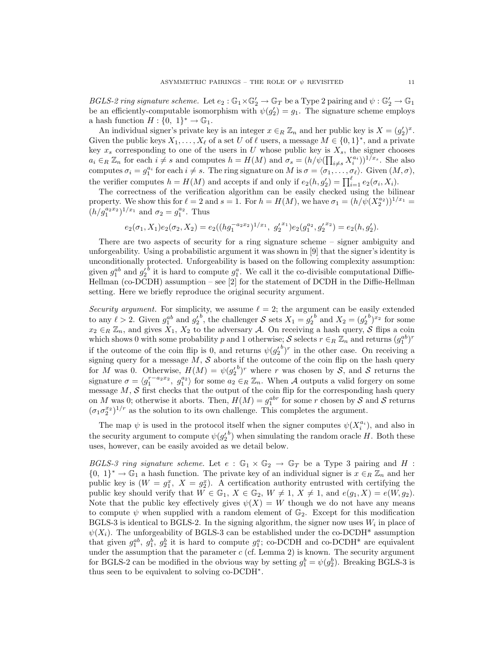BGLS-2 ring signature scheme. Let  $e_2 : \mathbb{G}_1 \times \mathbb{G}'_2 \to \mathbb{G}_T$  be a Type 2 pairing and  $\psi : \mathbb{G}'_2 \to \mathbb{G}_1$ be an efficiently-computable isomorphism with  $\psi(g_2') = g_1$ . The signature scheme employs a hash function  $H: \{0, 1\}^* \to \mathbb{G}_1$ .

An individual signer's private key is an integer  $x \in_R \mathbb{Z}_n$  and her public key is  $X = (g_2')^x$ . Given the public keys  $X_1, \ldots, X_\ell$  of a set U of  $\ell$  users, a message  $M \in \{0,1\}^*$ , and a private key  $x_s$  corresponding to one of the users in U whose public key is  $X_s$ , the signer chooses  $a_i \in_R \mathbb{Z}_n$  for each  $i \neq s$  and computes  $h = H(M)$  and  $\sigma_s = (h/\psi(\prod_{i \neq s} X_i^{a_i}))^{1/x_s}$ . She also computes  $\sigma_i = g_1^{a_i}$  for each  $i \neq s$ . The ring signature on M is  $\sigma = \langle \sigma_1, \ldots, \sigma_\ell \rangle$ . Given  $(M, \sigma)$ , the verifier computes  $h = H(M)$  and accepts if and only if  $e_2(h, g'_2) = \prod_{i=1}^{\ell} e_2(\sigma_i, X_i)$ .

The correctness of the verification algorithm can be easily checked using the bilinear property. We show this for  $\ell = 2$  and  $s = 1$ . For  $h = H(M)$ , we have  $\sigma_1 = (h/\psi(X_2^{a_2}))^{1/x_1} =$  $(h/g_1^{a_2x_2})^{1/x_1}$  and  $\sigma_2 = g_1^{a_2}$ . Thus

$$
e_2(\sigma_1, X_1)e_2(\sigma_2, X_2) = e_2((hg_1^{-a_2x_2})^{1/x_1}, g_2'^{x_1})e_2(g_1^{a_2}, g_2'^{x_2}) = e_2(h, g_2').
$$

There are two aspects of security for a ring signature scheme – signer ambiguity and unforgeability. Using a probabilistic argument it was shown in [9] that the signer's identity is unconditionally protected. Unforgeability is based on the following complexity assumption: given  $g_1^{ab}$  and  $g_2^{\prime b}$  it is hard to compute  $g_1^a$ . We call it the co-divisible computational Diffie-Hellman (co-DCDH) assumption – see [2] for the statement of DCDH in the Diffie-Hellman setting. Here we briefly reproduce the original security argument.

Security argument. For simplicity, we assume  $\ell = 2$ ; the argument can be easily extended to any  $\ell > 2$ . Given  $g_1^{ab}$  and  $g_2^{b}$ , the challenger S sets  $X_1 = g_2^{b}$  and  $X_2 = (g_2^{b})^{x_2}$  for some  $x_2 \in_R \mathbb{Z}_n$ , and gives  $X_1, X_2$  to the adversary A. On receiving a hash query, S flips a coin which shows 0 with some probability p and 1 otherwise;  $S$  selects  $r \in_R \mathbb{Z}_n$  and returns  $(g_1^{ab})^r$ if the outcome of the coin flip is 0, and returns  $\psi(g_2^{\prime b})^r$  in the other case. On receiving a if the outcome of the coin hip is 0, and fetulis  $\psi(g_2)$  in the other case. On receiving a signing query for a message M, S aborts if the outcome of the coin flip on the hash query for M was 0. Otherwise,  $H(M) = \psi(g_2^{\prime b})^r$  where r was chosen by S, and S returns the signature  $\sigma = \langle g_1^{r-a_2x_2}, g_1^{a_2} \rangle$  for some  $a_2 \in_R \mathbb{Z}_n$ . When A outputs a valid forgery on some message  $M$ ,  $S$  first checks that the output of the coin flip for the corresponding hash query on M was 0; otherwise it aborts. Then,  $H(M) = g_1^{abr}$  for some r chosen by S and S returns  $(\sigma_1 \sigma_2^{x_2})^{1/r}$  as the solution to its own challenge. This completes the argument.

The map  $\psi$  is used in the protocol itself when the signer computes  $\psi(X_i^{a_i})$ , and also in the security argument to compute  $\psi(g_2^{\prime b})$  when simulating the random oracle H. Both these uses, however, can be easily avoided as we detail below.

BGLS-3 ring signature scheme. Let  $e : \mathbb{G}_1 \times \mathbb{G}_2 \to \mathbb{G}_T$  be a Type 3 pairing and H :  $\{0, 1\}^* \to \mathbb{G}_1$  a hash function. The private key of an individual signer is  $x \in_R \mathbb{Z}_n$  and her public key is  $(W = g_1^x, X = g_2^x)$ . A certification authority entrusted with certifying the public key should verify that  $W \in \mathbb{G}_1$ ,  $X \in \mathbb{G}_2$ ,  $W \neq 1$ ,  $X \neq 1$ , and  $e(g_1, X) = e(W, g_2)$ . Note that the public key effectively gives  $\psi(X) = W$  though we do not have any means to compute  $\psi$  when supplied with a random element of  $\mathbb{G}_2$ . Except for this modification BGLS-3 is identical to BGLS-2. In the signing algorithm, the signer now uses  $W_i$  in place of  $\psi(X_i)$ . The unforgeability of BGLS-3 can be established under the co-DCDH\* assumption that given  $g_1^{ab}$ ,  $g_2^b$ ,  $g_2^b$  it is hard to compute  $g_1^a$ ; co-DCDH and co-DCDH\* are equivalent under the assumption that the parameter  $c$  (cf. Lemma 2) is known. The security argument for BGLS-2 can be modified in the obvious way by setting  $g_1^b = \psi(g_2^b)$ . Breaking BGLS-3 is thus seen to be equivalent to solving co-DCDH<sup>∗</sup> .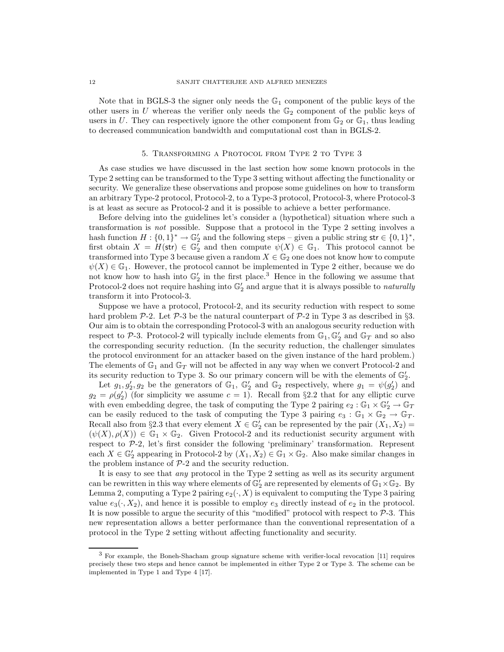Note that in BGLS-3 the signer only needs the  $\mathbb{G}_1$  component of the public keys of the other users in U whereas the verifier only needs the  $\mathbb{G}_2$  component of the public keys of users in U. They can respectively ignore the other component from  $\mathbb{G}_2$  or  $\mathbb{G}_1$ , thus leading to decreased communication bandwidth and computational cost than in BGLS-2.

#### 5. Transforming a Protocol from Type 2 to Type 3

As case studies we have discussed in the last section how some known protocols in the Type 2 setting can be transformed to the Type 3 setting without affecting the functionality or security. We generalize these observations and propose some guidelines on how to transform an arbitrary Type-2 protocol, Protocol-2, to a Type-3 protocol, Protocol-3, where Protocol-3 is at least as secure as Protocol-2 and it is possible to achieve a better performance.

Before delving into the guidelines let's consider a (hypothetical) situation where such a transformation is not possible. Suppose that a protocol in the Type 2 setting involves a hash function  $H: \{0,1\}^* \to \mathbb{G}_2'$  and the following steps – given a public string str  $\in \{0,1\}^*$ , first obtain  $X = H(\text{str}) \in \mathbb{G}_2^7$  and then compute  $\psi(X) \in \mathbb{G}_1$ . This protocol cannot be transformed into Type 3 because given a random  $X \in \mathbb{G}_2$  one does not know how to compute  $\psi(X) \in \mathbb{G}_1$ . However, the protocol cannot be implemented in Type 2 either, because we do not know how to hash into  $\mathbb{G}'_2$  in the first place.<sup>3</sup> Hence in the following we assume that Protocol-2 does not require hashing into  $\mathbb{G}'_2$  and argue that it is always possible to *naturally* transform it into Protocol-3.

Suppose we have a protocol, Protocol-2, and its security reduction with respect to some hard problem  $\mathcal{P}_2$ . Let  $\mathcal{P}_3$  be the natural counterpart of  $\mathcal{P}_2$  in Type 3 as described in §3. Our aim is to obtain the corresponding Protocol-3 with an analogous security reduction with respect to  $P$ -3. Protocol-2 will typically include elements from  $\mathbb{G}_1$ ,  $\mathbb{G}'_2$  and  $\mathbb{G}_T$  and so also the corresponding security reduction. (In the security reduction, the challenger simulates the protocol environment for an attacker based on the given instance of the hard problem.) The elements of  $\mathbb{G}_1$  and  $\mathbb{G}_T$  will not be affected in any way when we convert Protocol-2 and its security reduction to Type 3. So our primary concern will be with the elements of  $\mathbb{G}_2'$ .

Let  $g_1, g'_2, g_2$  be the generators of  $\mathbb{G}_1$ ,  $\mathbb{G}'_2$  and  $\mathbb{G}_2$  respectively, where  $g_1 = \psi(g'_2)$  and  $g_2 = \rho(g_2')$  (for simplicity we assume  $c = 1$ ). Recall from §2.2 that for any elliptic curve with even embedding degree, the task of computing the Type 2 pairing  $e_2 : \mathbb{G}_1 \times \mathbb{G}'_2 \to \mathbb{G}_T$ can be easily reduced to the task of computing the Type 3 pairing  $e_3 : \mathbb{G}_1 \times \mathbb{G}_2 \to \mathbb{G}_T$ . Recall also from §2.3 that every element  $X \in \mathbb{G}'_2$  can be represented by the pair  $(X_1, X_2)$  =  $(\psi(X), \rho(X)) \in \mathbb{G}_1 \times \mathbb{G}_2$ . Given Protocol-2 and its reductionist security argument with respect to P-2, let's first consider the following 'preliminary' transformation. Represent each  $X \in \mathbb{G}'_2$  appearing in Protocol-2 by  $(X_1, X_2) \in \mathbb{G}_1 \times \mathbb{G}_2$ . Also make similar changes in the problem instance of  $P-2$  and the security reduction.

It is easy to see that any protocol in the Type 2 setting as well as its security argument can be rewritten in this way where elements of  $\mathbb{G}'_2$  are represented by elements of  $\mathbb{G}_1 \times \mathbb{G}_2$ . By Lemma 2, computing a Type 2 pairing  $e_2(\cdot, X)$  is equivalent to computing the Type 3 pairing value  $e_3(\cdot, X_2)$ , and hence it is possible to employ  $e_3$  directly instead of  $e_2$  in the protocol. It is now possible to argue the security of this "modified" protocol with respect to  $P-3$ . This new representation allows a better performance than the conventional representation of a protocol in the Type 2 setting without affecting functionality and security.

<sup>3</sup> For example, the Boneh-Shacham group signature scheme with verifier-local revocation [11] requires precisely these two steps and hence cannot be implemented in either Type 2 or Type 3. The scheme can be implemented in Type 1 and Type 4 [17].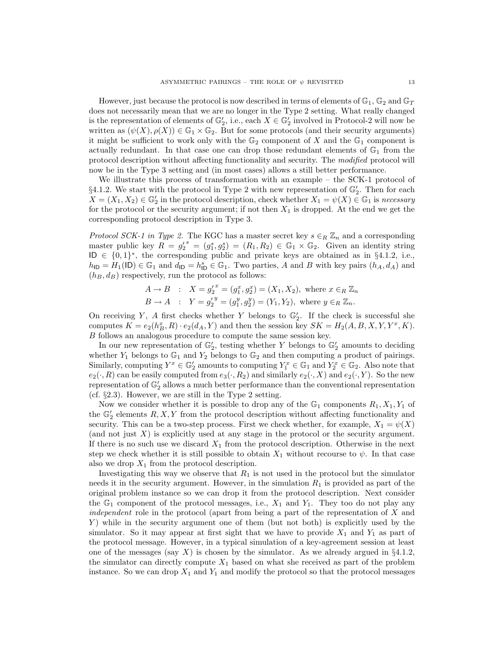However, just because the protocol is now described in terms of elements of  $\mathbb{G}_1$ ,  $\mathbb{G}_2$  and  $\mathbb{G}_T$ does not necessarily mean that we are no longer in the Type 2 setting. What really changed is the representation of elements of  $\mathbb{G}'_2$ , i.e., each  $X \in \mathbb{G}'_2$  involved in Protocol-2 will now be written as  $(\psi(X), \rho(X)) \in \mathbb{G}_1 \times \mathbb{G}_2$ . But for some protocols (and their security arguments) it might be sufficient to work only with the  $\mathbb{G}_2$  component of X and the  $\mathbb{G}_1$  component is actually redundant. In that case one can drop those redundant elements of  $\mathbb{G}_1$  from the protocol description without affecting functionality and security. The modified protocol will now be in the Type 3 setting and (in most cases) allows a still better performance.

We illustrate this process of transformation with an example – the SCK-1 protocol of  $\S 4.1.2$ . We start with the protocol in Type 2 with new representation of  $\mathbb{G}'_2$ . Then for each  $X = (X_1, X_2) \in \mathbb{G}_2'$  in the protocol description, check whether  $X_1 = \psi(X) \in \mathbb{G}_1$  is necessary for the protocol or the security argument; if not then  $X_1$  is dropped. At the end we get the corresponding protocol description in Type 3.

*Protocol SCK-1 in Type 2.* The KGC has a master secret key  $s \in_R \mathbb{Z}_n$  and a corresponding master public key  $R = g_2'^s = (g_1^s, g_2^s) = (R_1, R_2) \in \mathbb{G}_1 \times \mathbb{G}_2$ . Given an identity string ID  $\in \{0,1\}^*$ , the corresponding public and private keys are obtained as in §4.1.2, i.e.,  $h_{\mathsf{ID}} = H_1(\mathsf{ID}) \in \mathbb{G}_1$  and  $d_{\mathsf{ID}} = h_{\mathsf{ID}}^s \in \mathbb{G}_1$ . Two parties, A and B with key pairs  $(h_A, d_A)$  and  $(h_B, d_B)$  respectively, run the protocol as follows:

$$
A \to B : X = g_2'^x = (g_1^x, g_2^x) = (X_1, X_2), \text{ where } x \in_R \mathbb{Z}_n
$$
  

$$
B \to A : Y = g_2'^y = (g_1^y, g_2^y) = (Y_1, Y_2), \text{ where } y \in_R \mathbb{Z}_n.
$$

On receiving Y, A first checks whether Y belongs to  $\mathbb{G}'_2$ . If the check is successful she computes  $K = e_2(h_B^x, R) \cdot e_2(d_A, Y)$  and then the session key  $SK = H_2(A, B, X, Y, Y^x, K)$ . B follows an analogous procedure to compute the same session key.

In our new representation of  $\mathbb{G}'_2$ , testing whether Y belongs to  $\mathbb{G}'_2$  amounts to deciding whether  $Y_1$  belongs to  $\mathbb{G}_1$  and  $Y_2$  belongs to  $\mathbb{G}_2$  and then computing a product of pairings. Similarly, computing  $Y^x \in \mathbb{G}'_2$  amounts to computing  $Y_1^x \in \mathbb{G}_1$  and  $Y_2^x \in \mathbb{G}_2$ . Also note that  $e_2(\cdot, R)$  can be easily computed from  $e_3(\cdot, R_2)$  and similarly  $e_2(\cdot, X)$  and  $e_2(\cdot, Y)$ . So the new representation of  $\mathbb{G}'_2$  allows a much better performance than the conventional representation (cf.  $\S 2.3$ ). However, we are still in the Type 2 setting.

Now we consider whether it is possible to drop any of the  $\mathbb{G}_1$  components  $R_1, X_1, Y_1$  of the  $\mathbb{G}'_2$  elements  $R, X, Y$  from the protocol description without affecting functionality and security. This can be a two-step process. First we check whether, for example,  $X_1 = \psi(X)$ (and not just  $X$ ) is explicitly used at any stage in the protocol or the security argument. If there is no such use we discard  $X_1$  from the protocol description. Otherwise in the next step we check whether it is still possible to obtain  $X_1$  without recourse to  $\psi$ . In that case also we drop  $X_1$  from the protocol description.

Investigating this way we observe that  $R_1$  is not used in the protocol but the simulator needs it in the security argument. However, in the simulation  $R_1$  is provided as part of the original problem instance so we can drop it from the protocol description. Next consider the  $\mathbb{G}_1$  component of the protocol messages, i.e.,  $X_1$  and  $Y_1$ . They too do not play any independent role in the protocol (apart from being a part of the representation of X and Y ) while in the security argument one of them (but not both) is explicitly used by the simulator. So it may appear at first sight that we have to provide  $X_1$  and  $Y_1$  as part of the protocol message. However, in a typical simulation of a key-agreement session at least one of the messages (say X) is chosen by the simulator. As we already argued in  $\S 4.1.2$ , the simulator can directly compute  $X_1$  based on what she received as part of the problem instance. So we can drop  $X_1$  and  $Y_1$  and modify the protocol so that the protocol messages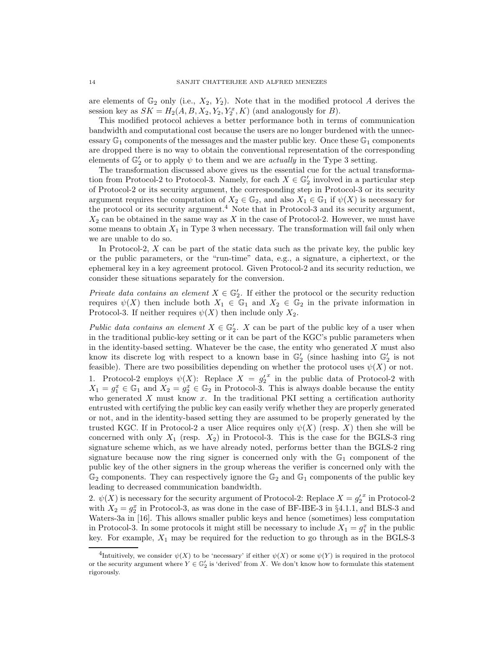are elements of  $\mathbb{G}_2$  only (i.e.,  $X_2, Y_2$ ). Note that in the modified protocol A derives the session key as  $SK = H_2(A, B, X_2, Y_2, Y_2, K)$  (and analogously for B).

This modified protocol achieves a better performance both in terms of communication bandwidth and computational cost because the users are no longer burdened with the unnecessary  $\mathbb{G}_1$  components of the messages and the master public key. Once these  $\mathbb{G}_1$  components are dropped there is no way to obtain the conventional representation of the corresponding elements of  $\mathbb{G}_2'$  or to apply  $\psi$  to them and we are *actually* in the Type 3 setting.

The transformation discussed above gives us the essential cue for the actual transformation from Protocol-2 to Protocol-3. Namely, for each  $X \in \mathbb{G}'_2$  involved in a particular step of Protocol-2 or its security argument, the corresponding step in Protocol-3 or its security argument requires the computation of  $X_2 \in \mathbb{G}_2$ , and also  $X_1 \in \mathbb{G}_1$  if  $\psi(X)$  is necessary for the protocol or its security argument.<sup>4</sup> Note that in Protocol-3 and its security argument,  $X_2$  can be obtained in the same way as X in the case of Protocol-2. However, we must have some means to obtain  $X_1$  in Type 3 when necessary. The transformation will fail only when we are unable to do so.

In Protocol-2,  $X$  can be part of the static data such as the private key, the public key or the public parameters, or the "run-time" data, e.g., a signature, a ciphertext, or the ephemeral key in a key agreement protocol. Given Protocol-2 and its security reduction, we consider these situations separately for the conversion.

Private data contains an element  $X \in \mathbb{G}_2'$ . If either the protocol or the security reduction requires  $\psi(X)$  then include both  $X_1 \in \mathbb{G}_1$  and  $X_2 \in \mathbb{G}_2$  in the private information in Protocol-3. If neither requires  $\psi(X)$  then include only  $X_2$ .

Public data contains an element  $X \in \mathbb{G}'_2$ . X can be part of the public key of a user when in the traditional public-key setting or it can be part of the KGC's public parameters when in the identity-based setting. Whatever be the case, the entity who generated  $X$  must also know its discrete log with respect to a known base in  $\mathbb{G}'_2$  (since hashing into  $\mathbb{G}'_2$  is not feasible). There are two possibilities depending on whether the protocol uses  $\psi(X)$  or not. 1. Protocol-2 employs  $\psi(X)$ : Replace  $X = g_2'^x$  in the public data of Protocol-2 with  $X_1 = g_1^x \in \mathbb{G}_1$  and  $X_2 = g_2^x \in \mathbb{G}_2$  in Protocol-3. This is always doable because the entity who generated  $X$  must know  $x$ . In the traditional PKI setting a certification authority entrusted with certifying the public key can easily verify whether they are properly generated or not, and in the identity-based setting they are assumed to be properly generated by the trusted KGC. If in Protocol-2 a user Alice requires only  $\psi(X)$  (resp. X) then she will be concerned with only  $X_1$  (resp.  $X_2$ ) in Protocol-3. This is the case for the BGLS-3 ring signature scheme which, as we have already noted, performs better than the BGLS-2 ring signature because now the ring signer is concerned only with the  $\mathbb{G}_1$  component of the public key of the other signers in the group whereas the verifier is concerned only with the  $\mathbb{G}_2$  components. They can respectively ignore the  $\mathbb{G}_2$  and  $\mathbb{G}_1$  components of the public key leading to decreased communication bandwidth.

2.  $\psi(X)$  is necessary for the security argument of Protocol-2: Replace  $X = g_2'^x$  in Protocol-2 with  $X_2 = g_2^x$  in Protocol-3, as was done in the case of BF-IBE-3 in §4.1.1, and BLS-3 and Waters-3a in [16]. This allows smaller public keys and hence (sometimes) less computation in Protocol-3. In some protocols it might still be necessary to include  $X_1 = g_1^x$  in the public key. For example,  $X_1$  may be required for the reduction to go through as in the BGLS-3

<sup>&</sup>lt;sup>4</sup>Intuitively, we consider  $\psi(X)$  to be 'necessary' if either  $\psi(X)$  or some  $\psi(Y)$  is required in the protocol or the security argument where  $Y \in \mathbb{G}_2'$  is 'derived' from X. We don't know how to formulate this statement rigorously.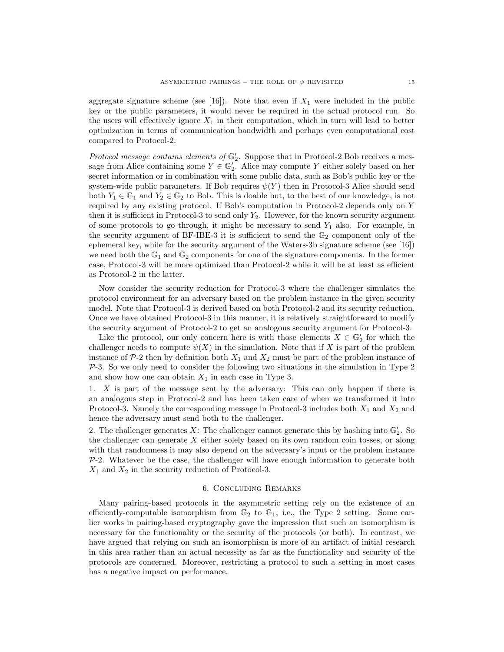aggregate signature scheme (see [16]). Note that even if  $X_1$  were included in the public key or the public parameters, it would never be required in the actual protocol run. So the users will effectively ignore  $X_1$  in their computation, which in turn will lead to better optimization in terms of communication bandwidth and perhaps even computational cost compared to Protocol-2.

Protocol message contains elements of  $\mathbb{G}'_2$ . Suppose that in Protocol-2 Bob receives a message from Alice containing some  $Y \in \mathbb{G}'_2$ . Alice may compute Y either solely based on her secret information or in combination with some public data, such as Bob's public key or the system-wide public parameters. If Bob requires  $\psi(Y)$  then in Protocol-3 Alice should send both  $Y_1 \in \mathbb{G}_1$  and  $Y_2 \in \mathbb{G}_2$  to Bob. This is doable but, to the best of our knowledge, is not required by any existing protocol. If Bob's computation in Protocol-2 depends only on Y then it is sufficient in Protocol-3 to send only  $Y_2$ . However, for the known security argument of some protocols to go through, it might be necessary to send  $Y_1$  also. For example, in the security argument of BF-IBE-3 it is sufficient to send the  $\mathbb{G}_2$  component only of the ephemeral key, while for the security argument of the Waters-3b signature scheme (see [16]) we need both the  $\mathbb{G}_1$  and  $\mathbb{G}_2$  components for one of the signature components. In the former case, Protocol-3 will be more optimized than Protocol-2 while it will be at least as efficient as Protocol-2 in the latter.

Now consider the security reduction for Protocol-3 where the challenger simulates the protocol environment for an adversary based on the problem instance in the given security model. Note that Protocol-3 is derived based on both Protocol-2 and its security reduction. Once we have obtained Protocol-3 in this manner, it is relatively straightforward to modify the security argument of Protocol-2 to get an analogous security argument for Protocol-3.

Like the protocol, our only concern here is with those elements  $X \in \mathbb{G}'_2$  for which the challenger needs to compute  $\psi(X)$  in the simulation. Note that if X is part of the problem instance of  $\mathcal{P}_2$  then by definition both  $X_1$  and  $X_2$  must be part of the problem instance of  $P-3$ . So we only need to consider the following two situations in the simulation in Type 2 and show how one can obtain  $X_1$  in each case in Type 3.

1. X is part of the message sent by the adversary: This can only happen if there is an analogous step in Protocol-2 and has been taken care of when we transformed it into Protocol-3. Namely the corresponding message in Protocol-3 includes both  $X_1$  and  $X_2$  and hence the adversary must send both to the challenger.

2. The challenger generates X: The challenger cannot generate this by hashing into  $\mathbb{G}'_2$ . So the challenger can generate  $X$  either solely based on its own random coin tosses, or along with that randomness it may also depend on the adversary's input or the problem instance  $P-2$ . Whatever be the case, the challenger will have enough information to generate both  $X_1$  and  $X_2$  in the security reduction of Protocol-3.

## 6. Concluding Remarks

Many pairing-based protocols in the asymmetric setting rely on the existence of an efficiently-computable isomorphism from  $\mathbb{G}_2$  to  $\mathbb{G}_1$ , i.e., the Type 2 setting. Some earlier works in pairing-based cryptography gave the impression that such an isomorphism is necessary for the functionality or the security of the protocols (or both). In contrast, we have argued that relying on such an isomorphism is more of an artifact of initial research in this area rather than an actual necessity as far as the functionality and security of the protocols are concerned. Moreover, restricting a protocol to such a setting in most cases has a negative impact on performance.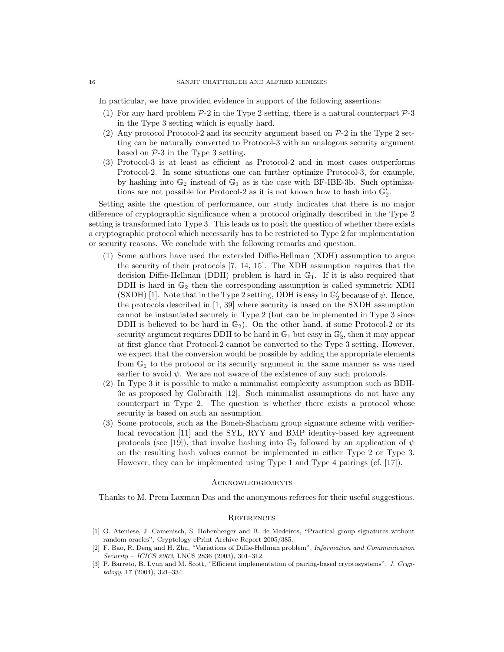In particular, we have provided evidence in support of the following assertions:

- (1) For any hard problem  $P-2$  in the Type 2 setting, there is a natural counterpart  $P-3$ in the Type 3 setting which is equally hard.
- (2) Any protocol Protocol-2 and its security argument based on  $P-2$  in the Type 2 setting can be naturally converted to Protocol-3 with an analogous security argument based on  $P-3$  in the Type 3 setting.
- (3) Protocol-3 is at least as efficient as Protocol-2 and in most cases outperforms Protocol-2. In some situations one can further optimize Protocol-3, for example, by hashing into  $\mathbb{G}_2$  instead of  $\mathbb{G}_1$  as is the case with BF-IBE-3b. Such optimizations are not possible for Protocol-2 as it is not known how to hash into  $\mathbb{G}_2'$ .

Setting aside the question of performance, our study indicates that there is no major difference of cryptographic significance when a protocol originally described in the Type 2 setting is transformed into Type 3. This leads us to posit the question of whether there exists a cryptographic protocol which necessarily has to be restricted to Type 2 for implementation or security reasons. We conclude with the following remarks and question.

- (1) Some authors have used the extended Diffie-Hellman (XDH) assumption to argue the security of their protocols [7, 14, 15]. The XDH assumption requires that the decision Diffie-Hellman (DDH) problem is hard in  $\mathbb{G}_1$ . If it is also required that DDH is hard in  $\mathbb{G}_2$  then the corresponding assumption is called symmetric XDH (SXDH) [1]. Note that in the Type 2 setting, DDH is easy in  $\mathbb{G}_2'$  because of  $\psi$ . Hence, the protocols described in [1, 39] where security is based on the SXDH assumption cannot be instantiated securely in Type 2 (but can be implemented in Type 3 since DDH is believed to be hard in  $\mathbb{G}_2$ ). On the other hand, if some Protocol-2 or its security argument requires DDH to be hard in  $\mathbb{G}_1$  but easy in  $\mathbb{G}_2'$ , then it may appear at first glance that Protocol-2 cannot be converted to the Type 3 setting. However, we expect that the conversion would be possible by adding the appropriate elements from  $\mathbb{G}_1$  to the protocol or its security argument in the same manner as was used earlier to avoid  $\psi$ . We are not aware of the existence of any such protocols.
- (2) In Type 3 it is possible to make a minimalist complexity assumption such as BDH-3c as proposed by Galbraith [12]. Such minimalist assumptions do not have any counterpart in Type 2. The question is whether there exists a protocol whose security is based on such an assumption.
- (3) Some protocols, such as the Boneh-Shacham group signature scheme with verifierlocal revocation [11] and the SYL, RYY and BMP identity-based key agreement protocols (see [19]), that involve hashing into  $\mathbb{G}_2$  followed by an application of  $\psi$ on the resulting hash values cannot be implemented in either Type 2 or Type 3. However, they can be implemented using Type 1 and Type 4 pairings (cf. [17]).

#### **ACKNOWLEDGEMENTS**

Thanks to M. Prem Laxman Das and the anonymous referees for their useful suggestions.

## **REFERENCES**

- [1] G. Ateniese, J. Camenisch, S. Hohenberger and B. de Medeiros, "Practical group signatures without random oracles", Cryptology ePrint Archive Report 2005/385.
- [2] F. Bao, R. Deng and H. Zhu, "Variations of Diffie-Hellman problem", Information and Communication Security – ICICS 2003, LNCS 2836 (2003), 301–312.
- [3] P. Barreto, B. Lynn and M. Scott, "Efficient implementation of pairing-based cryptosystems", J. Cryptology, 17 (2004), 321–334.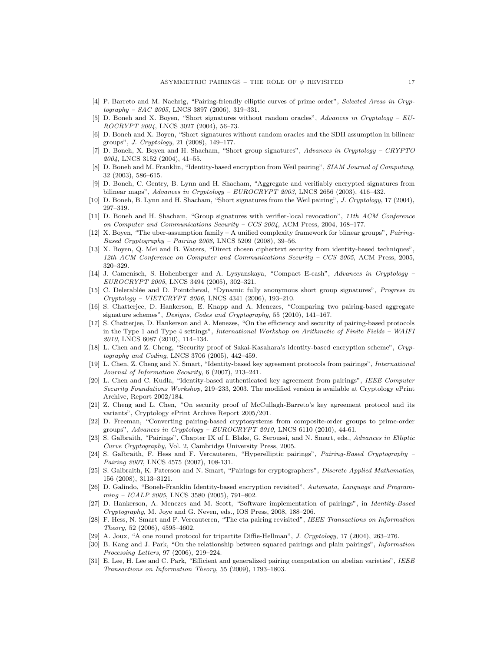- [4] P. Barreto and M. Naehrig, "Pairing-friendly elliptic curves of prime order", Selected Areas in Cryptography – SAC 2005, LNCS 3897 (2006), 319–331.
- [5] D. Boneh and X. Boyen, "Short signatures without random oracles", Advances in Cryptology EU-ROCRYPT 2004, LNCS 3027 (2004), 56–73.
- [6] D. Boneh and X. Boyen, "Short signatures without random oracles and the SDH assumption in bilinear groups", J. Cryptology, 21 (2008), 149–177.
- [7] D. Boneh, X. Boyen and H. Shacham, "Short group signatures", Advances in Cryptology CRYPTO 2004, LNCS 3152 (2004), 41–55.
- [8] D. Boneh and M. Franklin, "Identity-based encryption from Weil pairing", SIAM Journal of Computing, 32 (2003), 586–615.
- [9] D. Boneh, C. Gentry, B. Lynn and H. Shacham, "Aggregate and verifiably encrypted signatures from bilinear maps", Advances in Cryptology – EUROCRYPT 2003, LNCS 2656 (2003), 416–432.
- [10] D. Boneh, B. Lynn and H. Shacham, "Short signatures from the Weil pairing", J. Cryptology, 17 (2004), 297–319.
- [11] D. Boneh and H. Shacham, "Group signatures with verifier-local revocation", 11th ACM Conference on Computer and Communications Security – CCS 2004, ACM Press, 2004, 168–177.
- [12] X. Boyen, "The uber-assumption family A unified complexity framework for blinear groups", Pairing-Based Cryptography – Pairing 2008, LNCS 5209 (2008), 39–56.
- [13] X. Boyen, Q. Mei and B. Waters, "Direct chosen ciphertext security from identity-based techniques", 12th ACM Conference on Computer and Communications Security – CCS 2005, ACM Press, 2005, 320–329.
- [14] J. Camenisch, S. Hohenberger and A. Lysyanskaya, "Compact E-cash", Advances in Cryptology EUROCRYPT 2005, LNCS 3494 (2005), 302–321.
- [15] C. Delerablée and D. Pointcheval, "Dynamic fully anonymous short group signatures", Progress in Cryptology – VIETCRYPT 2006, LNCS 4341 (2006), 193–210.
- [16] S. Chatterjee, D. Hankerson, E. Knapp and A. Menezes, "Comparing two pairing-based aggregate signature schemes", Designs, Codes and Cryptography, 55 (2010), 141–167.
- [17] S. Chatterjee, D. Hankerson and A. Menezes, "On the efficiency and security of pairing-based protocols in the Type 1 and Type 4 settings", International Workshop on Arithmetic of Finite Fields – WAIFI 2010, LNCS 6087 (2010), 114–134.
- [18] L. Chen and Z. Cheng, "Security proof of Sakai-Kasahara's identity-based encryption scheme", Cryptography and Coding, LNCS 3706 (2005), 442–459.
- [19] L. Chen, Z. Cheng and N. Smart, "Identity-based key agreement protocols from pairings", International Journal of Information Security, 6 (2007), 213–241.
- [20] L. Chen and C. Kudla, "Identity-based authenticated key agreement from pairings", IEEE Computer Security Foundations Workshop, 219–233, 2003. The modified version is available at Cryptology ePrint Archive, Report 2002/184.
- [21] Z. Cheng and L. Chen, "On security proof of McCullagh-Barreto's key agreement protocol and its variants", Cryptology ePrint Archive Report 2005/201.
- [22] D. Freeman, "Converting pairing-based cryptosystems from composite-order groups to prime-order groups", Advances in Cryptology –  $EUROCRYPT 2010$ , LNCS 6110 (2010), 44-61.
- [23] S. Galbraith, "Pairings", Chapter IX of I. Blake, G. Seroussi, and N. Smart, eds., Advances in Elliptic Curve Cryptography, Vol. 2, Cambridge University Press, 2005.
- [24] S. Galbraith, F. Hess and F. Vercauteren, "Hyperelliptic pairings", Pairing-Based Cryptography Pairing 2007, LNCS 4575 (2007), 108-131.
- [25] S. Galbraith, K. Paterson and N. Smart, "Pairings for cryptographers", *Discrete Applied Mathematics*, 156 (2008), 3113–3121.
- [26] D. Galindo, "Boneh-Franklin Identity-based encryption revisited", Automata, Language and Programming – ICALP 2005, LNCS 3580 (2005), 791–802.
- [27] D. Hankerson, A. Menezes and M. Scott, "Software implementation of pairings", in Identity-Based Cryptography, M. Joye and G. Neven, eds., IOS Press, 2008, 188–206.
- [28] F. Hess, N. Smart and F. Vercauteren, "The eta pairing revisited", IEEE Transactions on Information Theory, 52 (2006), 4595–4602.
- [29] A. Joux, "A one round protocol for tripartite Diffie-Hellman", J. Cryptology, 17 (2004), 263–276.
- [30] B. Kang and J. Park, "On the relationship between squared pairings and plain pairings", Information Processing Letters, 97 (2006), 219–224.
- [31] E. Lee, H. Lee and C. Park, "Efficient and generalized pairing computation on abelian varieties", IEEE Transactions on Information Theory, 55 (2009), 1793–1803.